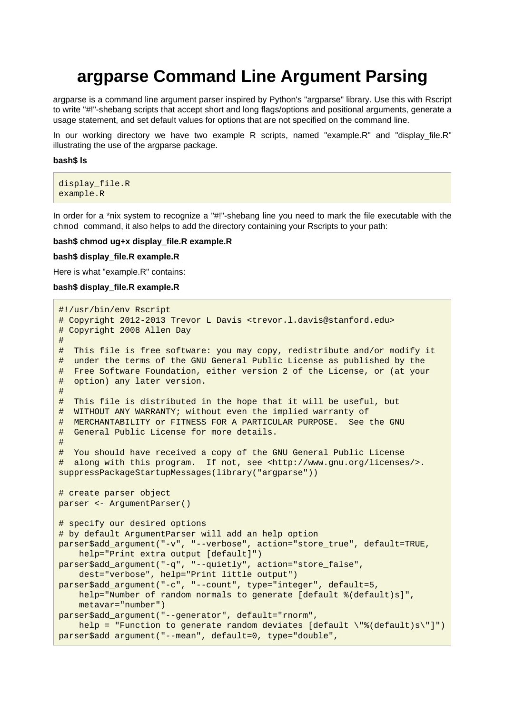# **argparse Command Line Argument Parsing**

argparse is a command line argument parser inspired by Python's "argparse" library. Use this with Rscript to write "#!"-shebang scripts that accept short and long flags/options and positional arguments, generate a usage statement, and set default values for options that are not specified on the command line.

In our working directory we have two example R scripts, named "example.R" and "display file.R" illustrating the use of the argparse package.

#### **bash\$ ls**

```
display_file.R
example.R
```
In order for a \*nix system to recognize a "#!"-shebang line you need to mark the file executable with the chmod command, it also helps to add the directory containing your Rscripts to your path:

#### **bash\$ chmod ug+x display\_file.R example.R**

#### **bash\$ display\_file.R example.R**

Here is what "example.R" contains:

#### **bash\$ display\_file.R example.R**

```
#!/usr/bin/env Rscript
# Copyright 2012-2013 Trevor L Davis <trevor.l.davis@stanford.edu>
# Copyright 2008 Allen Day
#
# This file is free software: you may copy, redistribute and/or modify it
# under the terms of the GNU General Public License as published by the
# Free Software Foundation, either version 2 of the License, or (at your
# option) any later version.
#
# This file is distributed in the hope that it will be useful, but
# WITHOUT ANY WARRANTY; without even the implied warranty of
# MERCHANTABILITY or FITNESS FOR A PARTICULAR PURPOSE. See the GNU
# General Public License for more details.
#
# You should have received a copy of the GNU General Public License
# along with this program. If not, see <http://www.gnu.org/licenses/>.
suppressPackageStartupMessages(library("argparse"))
# create parser object
parser <- ArgumentParser()
# specify our desired options
# by default ArgumentParser will add an help option
parser$add_argument("-v", "--verbose", action="store_true", default=TRUE,
     help="Print extra output [default]")
parser$add_argument("-q", "--quietly", action="store_false",
     dest="verbose", help="Print little output")
parser$add_argument("-c", "--count", type="integer", default=5,
    help="Number of random normals to generate [default %(default)s]",
     metavar="number")
parser$add_argument("--generator", default="rnorm",
    help = "Function to generate random deviates [default \"%(default)s\"]")
parser$add_argument("--mean", default=0, type="double",
```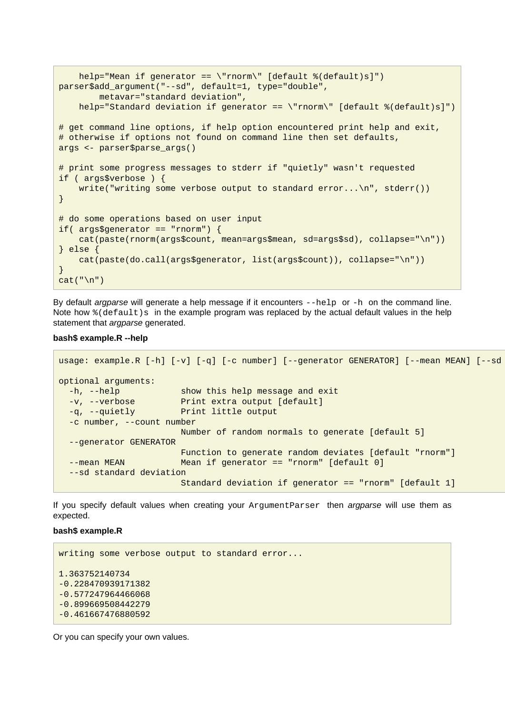```
 help="Mean if generator == \"rnorm\" [default %(default)s]")
parser$add_argument("--sd", default=1, type="double",
         metavar="standard deviation",
   help="Standard deviation if generator == \"rnorm\" [default %(default)s]")
# get command line options, if help option encountered print help and exit,
# otherwise if options not found on command line then set defaults,
args <- parser$parse_args()
# print some progress messages to stderr if "quietly" wasn't requested
if ( args$verbose ) {
    write("writing some verbose output to standard error...\n", stderr())
}
# do some operations based on user input
if( args$generator == "rnorm") {
     cat(paste(rnorm(args$count, mean=args$mean, sd=args$sd), collapse="\n"))
} else {
     cat(paste(do.call(args$generator, list(args$count)), collapse="\n"))
}
cat(''\n'')
```
By default *argparse* will generate a help message if it encounters  $-\text{help}$  or  $-h$  on the command line. Note how  $%$  (default)s in the example program was replaced by the actual default values in the help statement that *argparse* generated.

#### **bash\$ example.R --help**

```
usage: example.R [-h] [-v] [-q] [-c number] [--generator GENERATOR] [--mean MEAN] [--sd
optional arguments:
 -h, --help show this help message and exit
 -v, --verbose Print extra output [default]
  -q, --quietly Print little output
  -c number, --count number
                       Number of random normals to generate [default 5]
  --generator GENERATOR
                       Function to generate random deviates [default "rnorm"]
 --mean MEAN Mean if generator == "rnorm" [default 0]
  --sd standard deviation
                       Standard deviation if generator == "rnorm" [default 1]
```
If you specify default values when creating your ArgumentParser then argparse will use them as expected.

#### **bash\$ example.R**

```
writing some verbose output to standard error...
1.363752140734
-0.228470939171382
-0.577247964466068
-0.899669508442279
-0.461667476880592
```
Or you can specify your own values.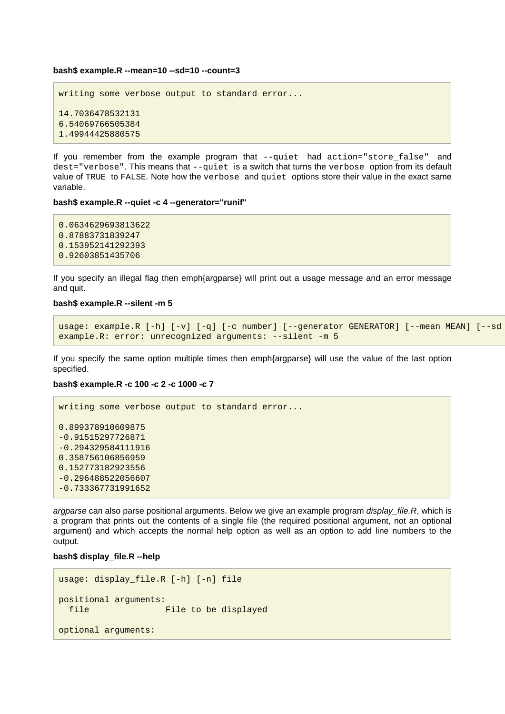#### **bash\$ example.R --mean=10 --sd=10 --count=3**

```
writing some verbose output to standard error...
14.7036478532131
6.54069766505384
1.49944425880575
```
If you remember from the example program that --quiet had action="store\_false" and dest="verbose". This means that --quiet is a switch that turns the verbose option from its default value of TRUE to FALSE. Note how the verbose and quiet options store their value in the exact same variable.

#### **bash\$ example.R --quiet -c 4 --generator="runif"**

```
0.0634629693813622
0.87883731839247
0.153952141292393
0.92603851435706
```
If you specify an illegal flag then emph{argparse} will print out a usage message and an error message and quit.

#### **bash\$ example.R --silent -m 5**

```
usage: example.R [-h] [-v] [-q] [-c number] [--generator GENERATOR] [--mean MEAN] [--sd
example.R: error: unrecognized arguments: --silent -m 5
```
If you specify the same option multiple times then emph{argparse} will use the value of the last option specified.

## **bash\$ example.R -c 100 -c 2 -c 1000 -c 7**

```
writing some verbose output to standard error...
0.899378910609875
-0.91515297726871
-0.294329584111916
0.358756106856959
0.152773182923556
-0.296488522056607
-0.733367731991652
```
argparse can also parse positional arguments. Below we give an example program display\_file.R, which is a program that prints out the contents of a single file (the required positional argument, not an optional argument) and which accepts the normal help option as well as an option to add line numbers to the output.

### **bash\$ display\_file.R --help**

```
usage: display_file.R [-h] [-n] file
positional arguments:
 file File to be displayed
optional arguments:
```